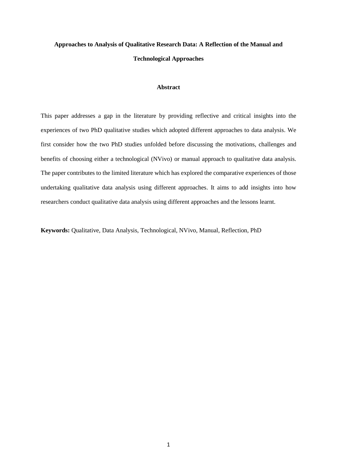# **Approaches to Analysis of Qualitative Research Data: A Reflection of the Manual and Technological Approaches**

#### **Abstract**

This paper addresses a gap in the literature by providing reflective and critical insights into the experiences of two PhD qualitative studies which adopted different approaches to data analysis. We first consider how the two PhD studies unfolded before discussing the motivations, challenges and benefits of choosing either a technological (NVivo) or manual approach to qualitative data analysis. The paper contributes to the limited literature which has explored the comparative experiences of those undertaking qualitative data analysis using different approaches. It aims to add insights into how researchers conduct qualitative data analysis using different approaches and the lessons learnt.

**Keywords:** Qualitative, Data Analysis, Technological, NVivo, Manual, Reflection, PhD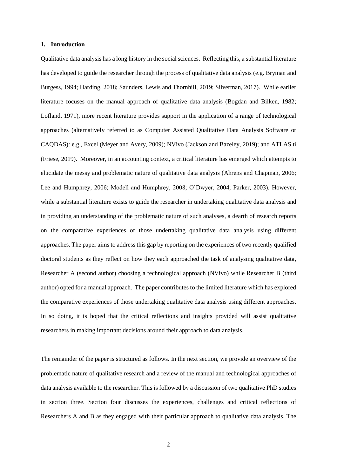### **1. Introduction**

Qualitative data analysis has a long history in the social sciences. Reflecting this, a substantial literature has developed to guide the researcher through the process of qualitative data analysis (e.g. Bryman and Burgess, 1994; Harding, 2018; Saunders, Lewis and Thornhill, 2019; Silverman, 2017). While earlier literature focuses on the manual approach of qualitative data analysis (Bogdan and Bilken, 1982; Lofland, 1971), more recent literature provides support in the application of a range of technological approaches (alternatively referred to as Computer Assisted Qualitative Data Analysis Software or CAQDAS): e.g., Excel (Meyer and Avery, 2009); NVivo (Jackson and Bazeley, 2019); and ATLAS.ti (Friese, 2019). Moreover, in an accounting context, a critical literature has emerged which attempts to elucidate the messy and problematic nature of qualitative data analysis (Ahrens and Chapman, 2006; Lee and Humphrey, 2006; Modell and Humphrey, 2008; O'Dwyer, 2004; Parker, 2003). However, while a substantial literature exists to guide the researcher in undertaking qualitative data analysis and in providing an understanding of the problematic nature of such analyses, a dearth of research reports on the comparative experiences of those undertaking qualitative data analysis using different approaches. The paper aims to address this gap by reporting on the experiences of two recently qualified doctoral students as they reflect on how they each approached the task of analysing qualitative data, Researcher A (second author) choosing a technological approach (NVivo) while Researcher B (third author) opted for a manual approach. The paper contributes to the limited literature which has explored the comparative experiences of those undertaking qualitative data analysis using different approaches. In so doing, it is hoped that the critical reflections and insights provided will assist qualitative researchers in making important decisions around their approach to data analysis.

The remainder of the paper is structured as follows. In the next section, we provide an overview of the problematic nature of qualitative research and a review of the manual and technological approaches of data analysis available to the researcher. This is followed by a discussion of two qualitative PhD studies in section three. Section four discusses the experiences, challenges and critical reflections of Researchers A and B as they engaged with their particular approach to qualitative data analysis. The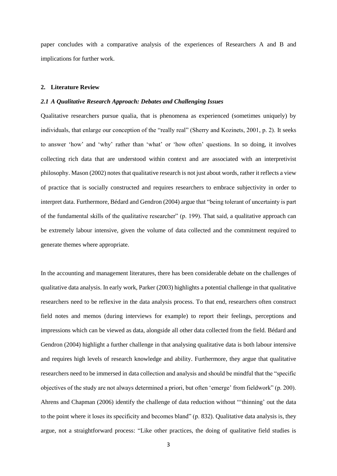paper concludes with a comparative analysis of the experiences of Researchers A and B and implications for further work.

#### **2. Literature Review**

## *2.1 A Qualitative Research Approach: Debates and Challenging Issues*

Qualitative researchers pursue qualia, that is phenomena as experienced (sometimes uniquely) by individuals, that enlarge our conception of the "really real" (Sherry and Kozinets, 2001, p. 2). It seeks to answer 'how' and 'why' rather than 'what' or 'how often' questions. In so doing, it involves collecting rich data that are understood within context and are associated with an interpretivist philosophy. Mason (2002) notes that qualitative research is not just about words, rather it reflects a view of practice that is socially constructed and requires researchers to embrace subjectivity in order to interpret data. Furthermore, Bédard and Gendron (2004) argue that "being tolerant of uncertainty is part of the fundamental skills of the qualitative researcher" (p. 199). That said, a qualitative approach can be extremely labour intensive, given the volume of data collected and the commitment required to generate themes where appropriate.

In the accounting and management literatures, there has been considerable debate on the challenges of qualitative data analysis. In early work, Parker (2003) highlights a potential challenge in that qualitative researchers need to be reflexive in the data analysis process. To that end, researchers often construct field notes and memos (during interviews for example) to report their feelings, perceptions and impressions which can be viewed as data, alongside all other data collected from the field. Bédard and Gendron (2004) highlight a further challenge in that analysing qualitative data is both labour intensive and requires high levels of research knowledge and ability. Furthermore, they argue that qualitative researchers need to be immersed in data collection and analysis and should be mindful that the "specific objectives of the study are not always determined a priori, but often 'emerge' from fieldwork" (p. 200). Ahrens and Chapman (2006) identify the challenge of data reduction without "'thinning' out the data to the point where it loses its specificity and becomes bland" (p. 832). Qualitative data analysis is, they argue, not a straightforward process: "Like other practices, the doing of qualitative field studies is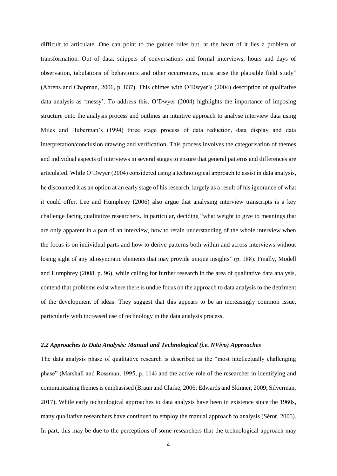difficult to articulate. One can point to the golden rules but, at the heart of it lies a problem of transformation. Out of data, snippets of conversations and formal interviews, hours and days of observation, tabulations of behaviours and other occurrences, must arise the plausible field study" (Ahrens and Chapman, 2006, p. 837). This chimes with O'Dwyer's (2004) description of qualitative data analysis as 'messy'. To address this, O'Dwyer (2004) highlights the importance of imposing structure onto the analysis process and outlines an intuitive approach to analyse interview data using Miles and Huberman's (1994) three stage process of data reduction, data display and data interpretation/conclusion drawing and verification. This process involves the categorisation of themes and individual aspects of interviews in several stages to ensure that general patterns and differences are articulated. While O'Dwyer (2004) considered using a technological approach to assist in data analysis, he discounted it as an option at an early stage of his research, largely as a result of his ignorance of what it could offer. Lee and Humphrey (2006) also argue that analysing interview transcripts is a key challenge facing qualitative researchers. In particular, deciding "what weight to give to meanings that are only apparent in a part of an interview, how to retain understanding of the whole interview when the focus is on individual parts and how to derive patterns both within and across interviews without losing sight of any idiosyncratic elements that may provide unique insights" (p. 188). Finally, Modell and Humphrey (2008, p. 96), while calling for further research in the area of qualitative data analysis, contend that problems exist where there is undue focus on the approach to data analysis to the detriment of the development of ideas. They suggest that this appears to be an increasingly common issue, particularly with increased use of technology in the data analysis process.

#### *2.2 Approaches to Data Analysis: Manual and Technological (i.e. NVivo) Approaches*

The data analysis phase of qualitative research is described as the "most intellectually challenging phase" (Marshall and Rossman, 1995, p. 114) and the active role of the researcher in identifying and communicating themes is emphasised (Braun and Clarke, 2006; Edwards and Skinner, 2009; Silverman, 2017). While early technological approaches to data analysis have been in existence since the 1960s, many qualitative researchers have continued to employ the manual approach to analysis (Séror, 2005). In part, this may be due to the perceptions of some researchers that the technological approach may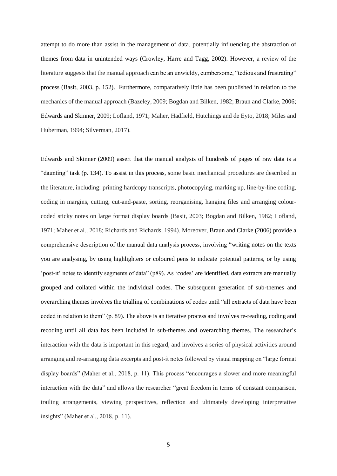attempt to do more than assist in the management of data, potentially influencing the abstraction of themes from data in unintended ways (Crowley, Harre and Tagg, 2002). However, a review of the literature suggests that the manual approach can be an unwieldy, cumbersome, "tedious and frustrating" process (Basit, 2003, p. 152). Furthermore, comparatively little has been published in relation to the mechanics of the manual approach (Bazeley, 2009; Bogdan and Bilken, 1982; Braun and Clarke, 2006; Edwards and Skinner, 2009; Lofland, 1971; Maher, Hadfield, Hutchings and de Eyto, 2018; Miles and Huberman, 1994; Silverman, 2017).

Edwards and Skinner (2009) assert that the manual analysis of hundreds of pages of raw data is a "daunting" task (p. 134). To assist in this process, some basic mechanical procedures are described in the literature, including: printing hardcopy transcripts, photocopying, marking up, line-by-line coding, coding in margins, cutting, cut-and-paste, sorting, reorganising, hanging files and arranging colourcoded sticky notes on large format display boards (Basit, 2003; Bogdan and Bilken, 1982; Lofland, 1971; Maher et al., 2018; Richards and Richards, 1994). Moreover, Braun and Clarke (2006) provide a comprehensive description of the manual data analysis process, involving "writing notes on the texts you are analysing, by using highlighters or coloured pens to indicate potential patterns, or by using 'post-it' notes to identify segments of data" (p89). As 'codes' are identified, data extracts are manually grouped and collated within the individual codes. The subsequent generation of sub-themes and overarching themes involves the trialling of combinations of codes until "all extracts of data have been coded in relation to them" (p. 89). The above is an iterative process and involves re-reading, coding and recoding until all data has been included in sub-themes and overarching themes. The researcher's interaction with the data is important in this regard, and involves a series of physical activities around arranging and re-arranging data excerpts and post-it notes followed by visual mapping on "large format display boards" (Maher et al., 2018, p. 11). This process "encourages a slower and more meaningful interaction with the data" and allows the researcher "great freedom in terms of constant comparison, trailing arrangements, viewing perspectives, reflection and ultimately developing interpretative insights" (Maher et al., 2018, p. 11).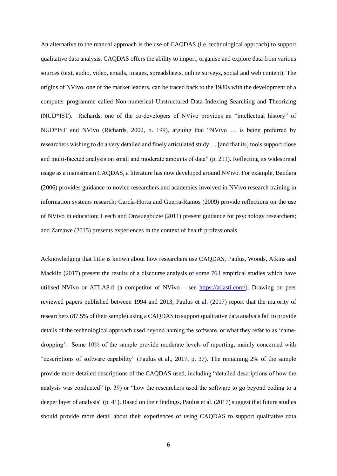An alternative to the manual approach is the use of CAQDAS (i.e. technological approach) to support qualitative data analysis. CAQDAS offers the ability to import, organise and explore data from various sources (text, audio, video, emails, images, spreadsheets, online surveys, social and web content). The origins of NVivo, one of the market leaders, can be traced back to the 1980s with the development of a computer programme called Non-numerical Unstructured Data Indexing Searching and Theorizing (NUD\*IST). Richards, one of the co-developers of NVivo provides an "intellectual history" of NUD\*IST and NVivo (Richards, 2002, p. 199), arguing that "NVivo … is being preferred by researchers wishing to do a very detailed and finely articulated study … [and that its] tools support close and multi-faceted analysis on small and moderate amounts of data" (p. 211). Reflecting its widespread usage as a mainstream CAQDAS, a literature has now developed around NVivo. For example, Bandara (2006) provides guidance to novice researchers and academics involved in NVivo research training in information systems research; García-Horta and Guerra-Ramos (2009) provide reflections on the use of NVivo in education; Leech and Onwuegbuzie (2011) present guidance for psychology researchers; and Zamawe (2015) presents experiences in the context of health professionals.

Acknowledging that little is known about how researchers use CAQDAS, Paulus, Woods, Atkins and Macklin (2017) present the results of a discourse analysis of some 763 empirical studies which have utilised NVivo or ATLAS.ti (a competitor of NVivo – see [https://atlasti.com/\)](https://atlasti.com/). Drawing on peer reviewed papers published between 1994 and 2013, Paulus et al. (2017) report that the majority of researchers (87.5% of their sample) using a CAQDAS to support qualitative data analysis fail to provide details of the technological approach used beyond naming the software, or what they refer to as 'namedropping'. Some 10% of the sample provide moderate levels of reporting, mainly concerned with "descriptions of software capability" (Paulus et al., 2017, p. 37). The remaining 2% of the sample provide more detailed descriptions of the CAQDAS used, including "detailed descriptions of how the analysis was conducted" (p. 39) or "how the researchers used the software to go beyond coding to a deeper layer of analysis" (p. 41). Based on their findings, Paulus et al. (2017) suggest that future studies should provide more detail about their experiences of using CAQDAS to support qualitative data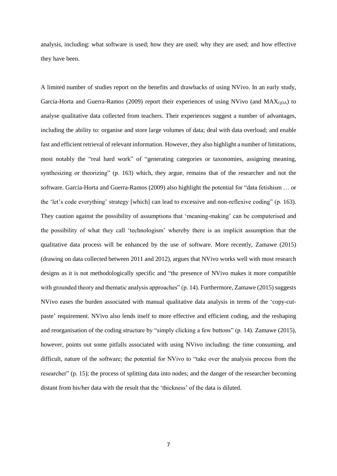analysis, including: what software is used; how they are used; why they are used; and how effective they have been.

A limited number of studies report on the benefits and drawbacks of using NVivo. In an early study, García-Horta and Guerra-Ramos (2009) report their experiences of using NVivo (and  $MAX<sub>QDA</sub>$ ) to analyse qualitative data collected from teachers. Their experiences suggest a number of advantages, including the ability to: organise and store large volumes of data; deal with data overload; and enable fast and efficient retrieval of relevant information. However, they also highlight a number of limitations, most notably the "real hard work" of "generating categories or taxonomies, assigning meaning, synthesizing or theorizing" (p. 163) which, they argue, remains that of the researcher and not the software. García-Horta and Guerra-Ramos (2009) also highlight the potential for "data fetishism … or the 'let's code everything' strategy [which] can lead to excessive and non-reflexive coding" (p. 163). They caution against the possibility of assumptions that 'meaning-making' can be computerised and the possibility of what they call 'technologism' whereby there is an implicit assumption that the qualitative data process will be enhanced by the use of software. More recently, Zamawe (2015) (drawing on data collected between 2011 and 2012), argues that NVivo works well with most research designs as it is not methodologically specific and "the presence of NVivo makes it more compatible with grounded theory and thematic analysis approaches" (p. 14). Furthermore, Zamawe (2015) suggests NVivo eases the burden associated with manual qualitative data analysis in terms of the 'copy-cutpaste' requirement. NVivo also lends itself to more effective and efficient coding, and the reshaping and reorganisation of the coding structure by "simply clicking a few buttons" (p. 14). Zamawe (2015), however, points out some pitfalls associated with using NVivo including: the time consuming, and difficult, nature of the software; the potential for NVivo to "take over the analysis process from the researcher" (p. 15); the process of splitting data into nodes; and the danger of the researcher becoming distant from his/her data with the result that the 'thickness' of the data is diluted.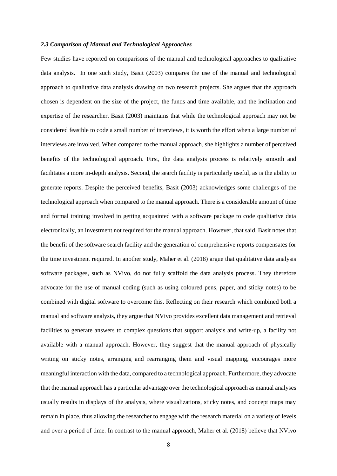### *2.3 Comparison of Manual and Technological Approaches*

Few studies have reported on comparisons of the manual and technological approaches to qualitative data analysis. In one such study, Basit (2003) compares the use of the manual and technological approach to qualitative data analysis drawing on two research projects. She argues that the approach chosen is dependent on the size of the project, the funds and time available, and the inclination and expertise of the researcher. Basit (2003) maintains that while the technological approach may not be considered feasible to code a small number of interviews, it is worth the effort when a large number of interviews are involved. When compared to the manual approach, she highlights a number of perceived benefits of the technological approach. First, the data analysis process is relatively smooth and facilitates a more in-depth analysis. Second, the search facility is particularly useful, as is the ability to generate reports. Despite the perceived benefits, Basit (2003) acknowledges some challenges of the technological approach when compared to the manual approach. There is a considerable amount of time and formal training involved in getting acquainted with a software package to code qualitative data electronically, an investment not required for the manual approach. However, that said, Basit notes that the benefit of the software search facility and the generation of comprehensive reports compensates for the time investment required. In another study, Maher et al. (2018) argue that qualitative data analysis software packages, such as NVivo, do not fully scaffold the data analysis process. They therefore advocate for the use of manual coding (such as using coloured pens, paper, and sticky notes) to be combined with digital software to overcome this. Reflecting on their research which combined both a manual and software analysis, they argue that NVivo provides excellent data management and retrieval facilities to generate answers to complex questions that support analysis and write-up, a facility not available with a manual approach. However, they suggest that the manual approach of physically writing on sticky notes, arranging and rearranging them and visual mapping, encourages more meaningful interaction with the data, compared to a technological approach. Furthermore, they advocate that the manual approach has a particular advantage over the technological approach as manual analyses usually results in displays of the analysis, where visualizations, sticky notes, and concept maps may remain in place, thus allowing the researcher to engage with the research material on a variety of levels and over a period of time. In contrast to the manual approach, Maher et al. (2018) believe that NVivo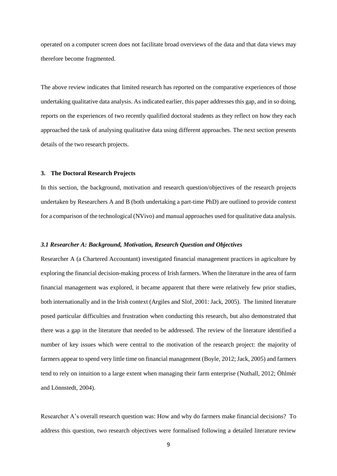operated on a computer screen does not facilitate broad overviews of the data and that data views may therefore become fragmented.

The above review indicates that limited research has reported on the comparative experiences of those undertaking qualitative data analysis. As indicated earlier, this paper addresses this gap, and in so doing, reports on the experiences of two recently qualified doctoral students as they reflect on how they each approached the task of analysing qualitative data using different approaches. The next section presents details of the two research projects.

#### **3. The Doctoral Research Projects**

In this section, the background, motivation and research question/objectives of the research projects undertaken by Researchers A and B (both undertaking a part-time PhD) are outlined to provide context for a comparison of the technological (NVivo) and manual approaches used for qualitative data analysis.

## *3.1 Researcher A: Background, Motivation, Research Question and Objectives*

Researcher A (a Chartered Accountant) investigated financial management practices in agriculture by exploring the financial decision-making process of Irish farmers. When the literature in the area of farm financial management was explored, it became apparent that there were relatively few prior studies, both internationally and in the Irish context (Argiles and Slof, 2001: Jack, 2005). The limited literature posed particular difficulties and frustration when conducting this research, but also demonstrated that there was a gap in the literature that needed to be addressed. The review of the literature identified a number of key issues which were central to the motivation of the research project: the majority of farmers appear to spend very little time on financial management (Boyle, 2012; Jack, 2005) and farmers tend to rely on intuition to a large extent when managing their farm enterprise (Nuthall, 2012; Öhlmér and Lönnstedt, 2004).

Researcher A's overall research question was: How and why do farmers make financial decisions? To address this question, two research objectives were formalised following a detailed literature review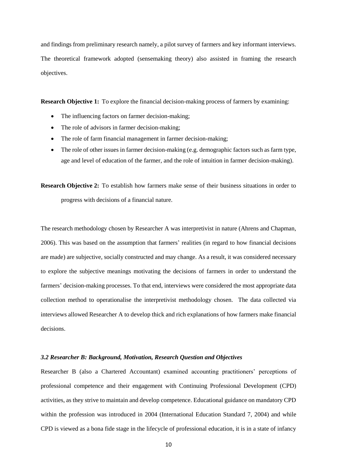and findings from preliminary research namely, a pilot survey of farmers and key informant interviews. The theoretical framework adopted (sensemaking theory) also assisted in framing the research objectives.

**Research Objective 1:** To explore the financial decision-making process of farmers by examining:

- The influencing factors on farmer decision-making;
- The role of advisors in farmer decision-making;
- The role of farm financial management in farmer decision-making;
- The role of other issues in farmer decision-making (e.g. demographic factors such as farm type, age and level of education of the farmer, and the role of intuition in farmer decision-making).

**Research Objective 2:** To establish how farmers make sense of their business situations in order to progress with decisions of a financial nature.

The research methodology chosen by Researcher A was interpretivist in nature (Ahrens and Chapman, 2006). This was based on the assumption that farmers' realities (in regard to how financial decisions are made) are subjective, socially constructed and may change. As a result, it was considered necessary to explore the subjective meanings motivating the decisions of farmers in order to understand the farmers' decision-making processes. To that end, interviews were considered the most appropriate data collection method to operationalise the interpretivist methodology chosen. The data collected via interviews allowed Researcher A to develop thick and rich explanations of how farmers make financial decisions.

## *3.2 Researcher B: Background, Motivation, Research Question and Objectives*

Researcher B (also a Chartered Accountant) examined accounting practitioners' perceptions of professional competence and their engagement with Continuing Professional Development (CPD) activities, as they strive to maintain and develop competence. Educational guidance on mandatory CPD within the profession was introduced in 2004 (International Education Standard 7, 2004) and while CPD is viewed as a bona fide stage in the lifecycle of professional education, it is in a state of infancy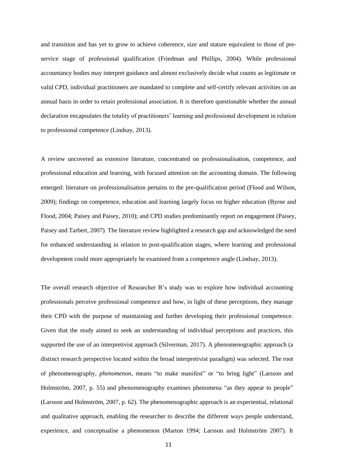and transition and has yet to grow to achieve coherence, size and stature equivalent to those of preservice stage of professional qualification (Friedman and Phillips, 2004). While professional accountancy bodies may interpret guidance and almost exclusively decide what counts as legitimate or valid CPD, individual practitioners are mandated to complete and self-certify relevant activities on an annual basis in order to retain professional association. It is therefore questionable whether the annual declaration encapsulates the totality of practitioners' learning and professional development in relation to professional competence (Lindsay, 2013).

A review uncovered an extensive literature, concentrated on professionalisation, competence, and professional education and learning, with focused attention on the accounting domain. The following emerged: literature on professionalisation pertains to the pre-qualification period (Flood and Wilson, 2009); findings on competence, education and learning largely focus on higher education (Byrne and Flood, 2004; Paisey and Paisey, 2010); and CPD studies predominantly report on engagement (Paisey, Paisey and Tarbert, 2007). The literature review highlighted a research gap and acknowledged the need for enhanced understanding in relation to post-qualification stages, where learning and professional development could more appropriately be examined from a competence angle (Lindsay, 2013).

The overall research objective of Researcher B's study was to explore how individual accounting professionals perceive professional competence and how, in light of these perceptions, they manage their CPD with the purpose of maintaining and further developing their professional competence. Given that the study aimed to seek an understanding of individual perceptions and practices, this supported the use of an interpretivist approach (Silverman, 2017). A phenomenographic approach (a distinct research perspective located within the broad interpretivist paradigm) was selected. The root of phenomenography, *phenomenon*, means "to make manifest" or "to bring light" (Larsson and Holmström, 2007, p. 55) and phenomenography examines phenomena "as they appear to people" (Larsson and Holmström, 2007, p. 62). The phenomenographic approach is an experiential, relational and qualitative approach, enabling the researcher to describe the different ways people understand, experience, and conceptualise a phenomenon (Marton 1994; Larsson and Holmström 2007). It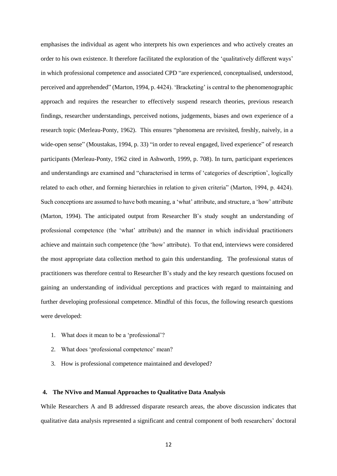emphasises the individual as agent who interprets his own experiences and who actively creates an order to his own existence. It therefore facilitated the exploration of the 'qualitatively different ways' in which professional competence and associated CPD "are experienced, conceptualised, understood, perceived and apprehended" (Marton, 1994, p. 4424). 'Bracketing' is central to the phenomenographic approach and requires the researcher to effectively suspend research theories, previous research findings, researcher understandings, perceived notions, judgements, biases and own experience of a research topic (Merleau-Ponty, 1962). This ensures "phenomena are revisited, freshly, naively, in a wide-open sense" (Moustakas, 1994, p. 33) "in order to reveal engaged, lived experience" of research participants (Merleau-Ponty, 1962 cited in Ashworth, 1999, p. 708). In turn, participant experiences and understandings are examined and "characterised in terms of 'categories of description', logically related to each other, and forming hierarchies in relation to given criteria" (Marton, 1994, p. 4424). Such conceptions are assumed to have both meaning, a 'what' attribute, and structure, a 'how' attribute (Marton, 1994). The anticipated output from Researcher B's study sought an understanding of professional competence (the 'what' attribute) and the manner in which individual practitioners achieve and maintain such competence (the 'how' attribute). To that end, interviews were considered the most appropriate data collection method to gain this understanding. The professional status of practitioners was therefore central to Researcher B's study and the key research questions focused on gaining an understanding of individual perceptions and practices with regard to maintaining and further developing professional competence. Mindful of this focus, the following research questions were developed:

- 1. What does it mean to be a 'professional'?
- 2. What does 'professional competence' mean?
- 3. How is professional competence maintained and developed?

## **4. The NVivo and Manual Approaches to Qualitative Data Analysis**

While Researchers A and B addressed disparate research areas, the above discussion indicates that qualitative data analysis represented a significant and central component of both researchers' doctoral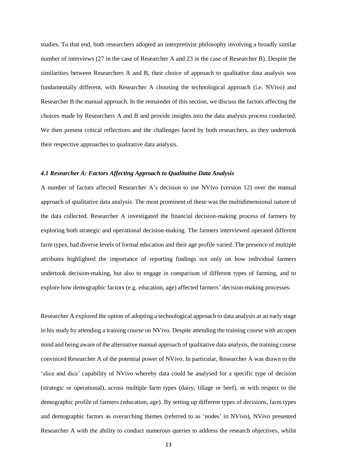studies. To that end, both researchers adopted an interpretivist philosophy involving a broadly similar number of interviews (27 in the case of Researcher A and 23 in the case of Researcher B). Despite the similarities between Researchers A and B, their choice of approach to qualitative data analysis was fundamentally different, with Researcher A choosing the technological approach (i.e. NVivo) and Researcher B the manual approach. In the remainder of this section, we discuss the factors affecting the choices made by Researchers A and B and provide insights into the data analysis process conducted. We then present critical reflections and the challenges faced by both researchers, as they undertook their respective approaches to qualitative data analysis.

## *4.1 Researcher A: Factors Affecting Approach to Qualitative Data Analysis*

A number of factors affected Researcher A's decision to use NVivo (version 12) over the manual approach of qualitative data analysis. The most prominent of these was the multidimensional nature of the data collected. Researcher A investigated the financial decision-making process of farmers by exploring both strategic and operational decision-making. The farmers interviewed operated different farm types, had diverse levels of formal education and their age profile varied. The presence of multiple attributes highlighted the importance of reporting findings not only on how individual farmers undertook decision-making, but also to engage in comparison of different types of farming, and to explore how demographic factors (e.g. education, age) affected farmers' decision-making processes.

Researcher A explored the option of adopting a technological approach to data analysis at an early stage in his study by attending a training course on NVivo. Despite attending the training course with an open mind and being aware of the alternative manual approach of qualitative data analysis, the training course convinced Researcher A of the potential power of NVivo. In particular, Researcher A was drawn to the 'slice and dice' capability of NVivo whereby data could be analysed for a specific type of decision (strategic or operational), across multiple farm types (dairy, tillage or beef), or with respect to the demographic profile of farmers (education, age). By setting up different types of decisions, farm types and demographic factors as overarching themes (referred to as 'nodes' in NVivo), NVivo presented Researcher A with the ability to conduct numerous queries to address the research objectives, whilst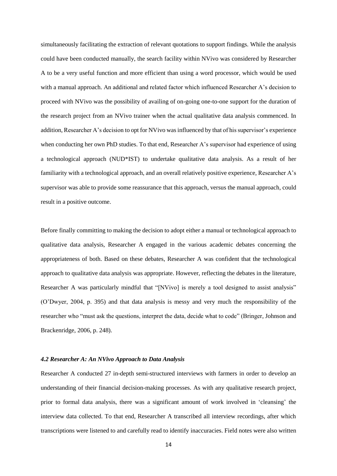simultaneously facilitating the extraction of relevant quotations to support findings. While the analysis could have been conducted manually, the search facility within NVivo was considered by Researcher A to be a very useful function and more efficient than using a word processor, which would be used with a manual approach. An additional and related factor which influenced Researcher A's decision to proceed with NVivo was the possibility of availing of on-going one-to-one support for the duration of the research project from an NVivo trainer when the actual qualitative data analysis commenced. In addition, Researcher A's decision to opt for NVivo was influenced by that of his supervisor's experience when conducting her own PhD studies. To that end, Researcher A's supervisor had experience of using a technological approach (NUD\*IST) to undertake qualitative data analysis. As a result of her familiarity with a technological approach, and an overall relatively positive experience, Researcher A's supervisor was able to provide some reassurance that this approach, versus the manual approach, could result in a positive outcome.

Before finally committing to making the decision to adopt either a manual or technological approach to qualitative data analysis, Researcher A engaged in the various academic debates concerning the appropriateness of both. Based on these debates, Researcher A was confident that the technological approach to qualitative data analysis was appropriate. However, reflecting the debates in the literature, Researcher A was particularly mindful that "[NVivo] is merely a tool designed to assist analysis" (O'Dwyer, 2004, p. 395) and that data analysis is messy and very much the responsibility of the researcher who "must ask the questions, interpret the data, decide what to code" (Bringer, Johnson and Brackenridge, 2006, p. 248).

#### *4.2 Researcher A: An NVivo Approach to Data Analysis*

Researcher A conducted 27 in-depth semi-structured interviews with farmers in order to develop an understanding of their financial decision-making processes. As with any qualitative research project, prior to formal data analysis, there was a significant amount of work involved in 'cleansing' the interview data collected. To that end, Researcher A transcribed all interview recordings, after which transcriptions were listened to and carefully read to identify inaccuracies. Field notes were also written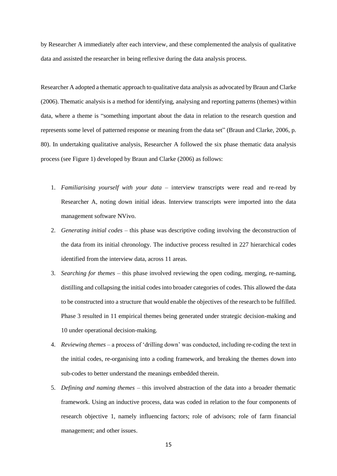by Researcher A immediately after each interview, and these complemented the analysis of qualitative data and assisted the researcher in being reflexive during the data analysis process.

Researcher A adopted a thematic approach to qualitative data analysis as advocated by Braun and Clarke (2006). Thematic analysis is a method for identifying, analysing and reporting patterns (themes) within data, where a theme is "something important about the data in relation to the research question and represents some level of patterned response or meaning from the data set" (Braun and Clarke, 2006, p. 80). In undertaking qualitative analysis, Researcher A followed the six phase thematic data analysis process (see Figure 1) developed by Braun and Clarke (2006) as follows:

- 1. *Familiarising yourself with your data* interview transcripts were read and re-read by Researcher A, noting down initial ideas. Interview transcripts were imported into the data management software NVivo.
- 2. *Generating initial codes* this phase was descriptive coding involving the deconstruction of the data from its initial chronology. The inductive process resulted in 227 hierarchical codes identified from the interview data, across 11 areas.
- 3. *Searching for themes* this phase involved reviewing the open coding, merging, re-naming, distilling and collapsing the initial codes into broader categories of codes. This allowed the data to be constructed into a structure that would enable the objectives of the research to be fulfilled. Phase 3 resulted in 11 empirical themes being generated under strategic decision-making and 10 under operational decision-making.
- 4. *Reviewing themes* a process of 'drilling down' was conducted, including re-coding the text in the initial codes, re-organising into a coding framework, and breaking the themes down into sub-codes to better understand the meanings embedded therein.
- 5. *Defining and naming themes* this involved abstraction of the data into a broader thematic framework. Using an inductive process, data was coded in relation to the four components of research objective 1, namely influencing factors; role of advisors; role of farm financial management; and other issues.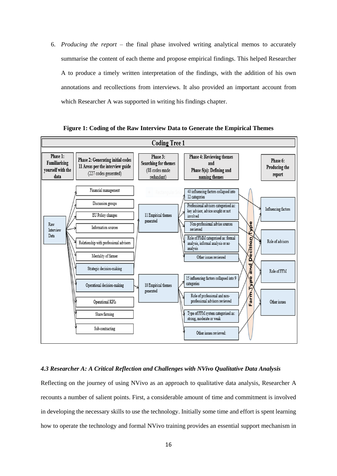6. *Producing the report* – the final phase involved writing analytical memos to accurately summarise the content of each theme and propose empirical findings. This helped Researcher A to produce a timely written interpretation of the findings, with the addition of his own annotations and recollections from interviews. It also provided an important account from which Researcher A was supported in writing his findings chapter.



**Figure 1: Coding of the Raw Interview Data to Generate the Empirical Themes**

## *4.3 Researcher A: A Critical Reflection and Challenges with NVivo Qualitative Data Analysis*

Reflecting on the journey of using NVivo as an approach to qualitative data analysis, Researcher A recounts a number of salient points. First, a considerable amount of time and commitment is involved in developing the necessary skills to use the technology. Initially some time and effort is spent learning how to operate the technology and formal NVivo training provides an essential support mechanism in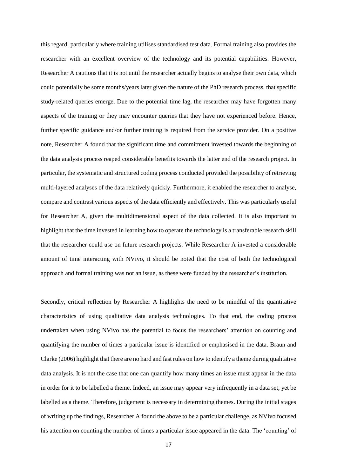this regard, particularly where training utilises standardised test data. Formal training also provides the researcher with an excellent overview of the technology and its potential capabilities. However, Researcher A cautions that it is not until the researcher actually begins to analyse their own data, which could potentially be some months/years later given the nature of the PhD research process, that specific study-related queries emerge. Due to the potential time lag, the researcher may have forgotten many aspects of the training or they may encounter queries that they have not experienced before. Hence, further specific guidance and/or further training is required from the service provider. On a positive note, Researcher A found that the significant time and commitment invested towards the beginning of the data analysis process reaped considerable benefits towards the latter end of the research project. In particular, the systematic and structured coding process conducted provided the possibility of retrieving multi-layered analyses of the data relatively quickly. Furthermore, it enabled the researcher to analyse, compare and contrast various aspects of the data efficiently and effectively. This was particularly useful for Researcher A, given the multidimensional aspect of the data collected. It is also important to highlight that the time invested in learning how to operate the technology is a transferable research skill that the researcher could use on future research projects. While Researcher A invested a considerable amount of time interacting with NVivo, it should be noted that the cost of both the technological approach and formal training was not an issue, as these were funded by the researcher's institution.

Secondly, critical reflection by Researcher A highlights the need to be mindful of the quantitative characteristics of using qualitative data analysis technologies. To that end, the coding process undertaken when using NVivo has the potential to focus the researchers' attention on counting and quantifying the number of times a particular issue is identified or emphasised in the data. Braun and Clarke (2006) highlight that there are no hard and fast rules on how to identify a theme during qualitative data analysis. It is not the case that one can quantify how many times an issue must appear in the data in order for it to be labelled a theme. Indeed, an issue may appear very infrequently in a data set, yet be labelled as a theme. Therefore, judgement is necessary in determining themes. During the initial stages of writing up the findings, Researcher A found the above to be a particular challenge, as NVivo focused his attention on counting the number of times a particular issue appeared in the data. The 'counting' of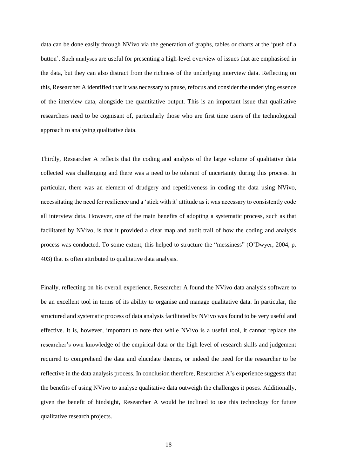data can be done easily through NVivo via the generation of graphs, tables or charts at the 'push of a button'. Such analyses are useful for presenting a high-level overview of issues that are emphasised in the data, but they can also distract from the richness of the underlying interview data. Reflecting on this, Researcher A identified that it was necessary to pause, refocus and consider the underlying essence of the interview data, alongside the quantitative output. This is an important issue that qualitative researchers need to be cognisant of, particularly those who are first time users of the technological approach to analysing qualitative data.

Thirdly, Researcher A reflects that the coding and analysis of the large volume of qualitative data collected was challenging and there was a need to be tolerant of uncertainty during this process. In particular, there was an element of drudgery and repetitiveness in coding the data using NVivo, necessitating the need for resilience and a 'stick with it' attitude as it was necessary to consistently code all interview data. However, one of the main benefits of adopting a systematic process, such as that facilitated by NVivo, is that it provided a clear map and audit trail of how the coding and analysis process was conducted. To some extent, this helped to structure the "messiness" (O'Dwyer, 2004, p. 403) that is often attributed to qualitative data analysis.

Finally, reflecting on his overall experience, Researcher A found the NVivo data analysis software to be an excellent tool in terms of its ability to organise and manage qualitative data. In particular, the structured and systematic process of data analysis facilitated by NVivo was found to be very useful and effective. It is, however, important to note that while NVivo is a useful tool, it cannot replace the researcher's own knowledge of the empirical data or the high level of research skills and judgement required to comprehend the data and elucidate themes, or indeed the need for the researcher to be reflective in the data analysis process. In conclusion therefore, Researcher A's experience suggests that the benefits of using NVivo to analyse qualitative data outweigh the challenges it poses. Additionally, given the benefit of hindsight, Researcher A would be inclined to use this technology for future qualitative research projects.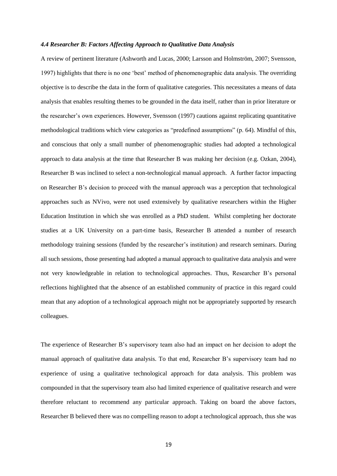#### *4.4 Researcher B: Factors Affecting Approach to Qualitative Data Analysis*

A review of pertinent literature (Ashworth and Lucas, 2000; Larsson and Holmström, 2007; Svensson, 1997) highlights that there is no one 'best' method of phenomenographic data analysis. The overriding objective is to describe the data in the form of qualitative categories. This necessitates a means of data analysis that enables resulting themes to be grounded in the data itself, rather than in prior literature or the researcher's own experiences. However, Svensson (1997) cautions against replicating quantitative methodological traditions which view categories as "predefined assumptions" (p. 64). Mindful of this, and conscious that only a small number of phenomenographic studies had adopted a technological approach to data analysis at the time that Researcher B was making her decision (e.g. Ozkan, 2004), Researcher B was inclined to select a non-technological manual approach. A further factor impacting on Researcher B's decision to proceed with the manual approach was a perception that technological approaches such as NVivo, were not used extensively by qualitative researchers within the Higher Education Institution in which she was enrolled as a PhD student. Whilst completing her doctorate studies at a UK University on a part-time basis, Researcher B attended a number of research methodology training sessions (funded by the researcher's institution) and research seminars. During all such sessions, those presenting had adopted a manual approach to qualitative data analysis and were not very knowledgeable in relation to technological approaches. Thus, Researcher B's personal reflections highlighted that the absence of an established community of practice in this regard could mean that any adoption of a technological approach might not be appropriately supported by research colleagues.

The experience of Researcher B's supervisory team also had an impact on her decision to adopt the manual approach of qualitative data analysis. To that end, Researcher B's supervisory team had no experience of using a qualitative technological approach for data analysis. This problem was compounded in that the supervisory team also had limited experience of qualitative research and were therefore reluctant to recommend any particular approach. Taking on board the above factors, Researcher B believed there was no compelling reason to adopt a technological approach, thus she was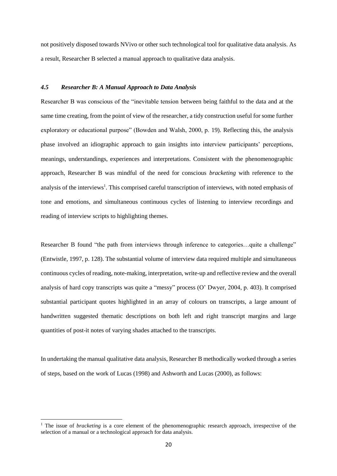not positively disposed towards NVivo or other such technological tool for qualitative data analysis. As a result, Researcher B selected a manual approach to qualitative data analysis.

### *4.5 Researcher B: A Manual Approach to Data Analysis*

Researcher B was conscious of the "inevitable tension between being faithful to the data and at the same time creating, from the point of view of the researcher, a tidy construction useful for some further exploratory or educational purpose" (Bowden and Walsh, 2000, p. 19). Reflecting this, the analysis phase involved an idiographic approach to gain insights into interview participants' perceptions, meanings, understandings, experiences and interpretations. Consistent with the phenomenographic approach, Researcher B was mindful of the need for conscious *bracketing* with reference to the analysis of the interviews<sup>1</sup>. This comprised careful transcription of interviews, with noted emphasis of tone and emotions, and simultaneous continuous cycles of listening to interview recordings and reading of interview scripts to highlighting themes.

Researcher B found "the path from interviews through inference to categories...quite a challenge" (Entwistle, 1997, p. 128). The substantial volume of interview data required multiple and simultaneous continuous cycles of reading, note-making, interpretation, write-up and reflective review and the overall analysis of hard copy transcripts was quite a "messy" process (O' Dwyer, 2004, p. 403). It comprised substantial participant quotes highlighted in an array of colours on transcripts, a large amount of handwritten suggested thematic descriptions on both left and right transcript margins and large quantities of post-it notes of varying shades attached to the transcripts.

In undertaking the manual qualitative data analysis, Researcher B methodically worked through a series of steps, based on the work of Lucas (1998) and Ashworth and Lucas (2000), as follows:

1

<sup>&</sup>lt;sup>1</sup> The issue of *bracketing* is a core element of the phenomenographic research approach, irrespective of the selection of a manual or a technological approach for data analysis.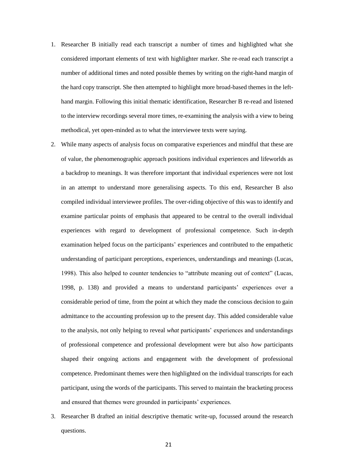- 1. Researcher B initially read each transcript a number of times and highlighted what she considered important elements of text with highlighter marker. She re-read each transcript a number of additional times and noted possible themes by writing on the right-hand margin of the hard copy transcript. She then attempted to highlight more broad-based themes in the lefthand margin. Following this initial thematic identification, Researcher B re-read and listened to the interview recordings several more times, re-examining the analysis with a view to being methodical, yet open-minded as to what the interviewee texts were saying.
- 2. While many aspects of analysis focus on comparative experiences and mindful that these are of value, the phenomenographic approach positions individual experiences and lifeworlds as a backdrop to meanings. It was therefore important that individual experiences were not lost in an attempt to understand more generalising aspects. To this end, Researcher B also compiled individual interviewee profiles. The over-riding objective of this was to identify and examine particular points of emphasis that appeared to be central to the overall individual experiences with regard to development of professional competence. Such in-depth examination helped focus on the participants' experiences and contributed to the empathetic understanding of participant perceptions, experiences, understandings and meanings (Lucas, 1998). This also helped to counter tendencies to "attribute meaning out of context" (Lucas, 1998, p. 138) and provided a means to understand participants' experiences over a considerable period of time, from the point at which they made the conscious decision to gain admittance to the accounting profession up to the present day. This added considerable value to the analysis, not only helping to reveal *what* participants' experiences and understandings of professional competence and professional development were but also *how* participants shaped their ongoing actions and engagement with the development of professional competence. Predominant themes were then highlighted on the individual transcripts for each participant, using the words of the participants. This served to maintain the bracketing process and ensured that themes were grounded in participants' experiences.
- 3. Researcher B drafted an initial descriptive thematic write-up, focussed around the research questions.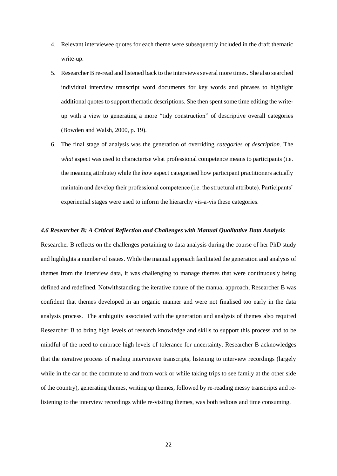- 4. Relevant interviewee quotes for each theme were subsequently included in the draft thematic write-up.
- 5. Researcher B re-read and listened back to the interviews several more times. She also searched individual interview transcript word documents for key words and phrases to highlight additional quotes to support thematic descriptions. She then spent some time editing the writeup with a view to generating a more "tidy construction" of descriptive overall categories (Bowden and Walsh, 2000, p. 19).
- 6. The final stage of analysis was the generation of overriding *categories of description*. The *what* aspect was used to characterise what professional competence means to participants (i.e. the meaning attribute) while the *how* aspect categorised how participant practitioners actually maintain and develop their professional competence (i.e. the structural attribute). Participants' experiential stages were used to inform the hierarchy vis-a-vis these categories.

#### *4.6 Researcher B: A Critical Reflection and Challenges with Manual Qualitative Data Analysis*

Researcher B reflects on the challenges pertaining to data analysis during the course of her PhD study and highlights a number of issues. While the manual approach facilitated the generation and analysis of themes from the interview data, it was challenging to manage themes that were continuously being defined and redefined. Notwithstanding the iterative nature of the manual approach, Researcher B was confident that themes developed in an organic manner and were not finalised too early in the data analysis process. The ambiguity associated with the generation and analysis of themes also required Researcher B to bring high levels of research knowledge and skills to support this process and to be mindful of the need to embrace high levels of tolerance for uncertainty. Researcher B acknowledges that the iterative process of reading interviewee transcripts, listening to interview recordings (largely while in the car on the commute to and from work or while taking trips to see family at the other side of the country), generating themes, writing up themes, followed by re-reading messy transcripts and relistening to the interview recordings while re-visiting themes, was both tedious and time consuming.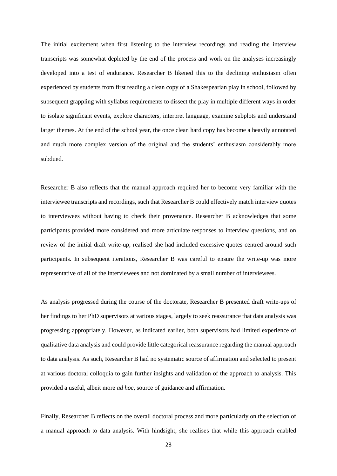The initial excitement when first listening to the interview recordings and reading the interview transcripts was somewhat depleted by the end of the process and work on the analyses increasingly developed into a test of endurance. Researcher B likened this to the declining enthusiasm often experienced by students from first reading a clean copy of a Shakespearian play in school, followed by subsequent grappling with syllabus requirements to dissect the play in multiple different ways in order to isolate significant events, explore characters, interpret language, examine subplots and understand larger themes. At the end of the school year, the once clean hard copy has become a heavily annotated and much more complex version of the original and the students' enthusiasm considerably more subdued.

Researcher B also reflects that the manual approach required her to become very familiar with the interviewee transcripts and recordings, such that Researcher B could effectively match interview quotes to interviewees without having to check their provenance. Researcher B acknowledges that some participants provided more considered and more articulate responses to interview questions, and on review of the initial draft write-up, realised she had included excessive quotes centred around such participants. In subsequent iterations, Researcher B was careful to ensure the write-up was more representative of all of the interviewees and not dominated by a small number of interviewees.

As analysis progressed during the course of the doctorate, Researcher B presented draft write-ups of her findings to her PhD supervisors at various stages, largely to seek reassurance that data analysis was progressing appropriately. However, as indicated earlier, both supervisors had limited experience of qualitative data analysis and could provide little categorical reassurance regarding the manual approach to data analysis. As such, Researcher B had no systematic source of affirmation and selected to present at various doctoral colloquia to gain further insights and validation of the approach to analysis. This provided a useful, albeit more *ad hoc*, source of guidance and affirmation.

Finally, Researcher B reflects on the overall doctoral process and more particularly on the selection of a manual approach to data analysis. With hindsight, she realises that while this approach enabled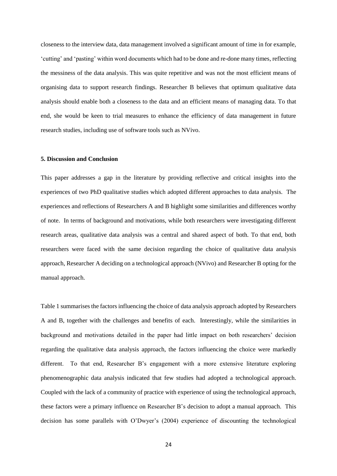closeness to the interview data, data management involved a significant amount of time in for example, 'cutting' and 'pasting' within word documents which had to be done and re-done many times, reflecting the messiness of the data analysis. This was quite repetitive and was not the most efficient means of organising data to support research findings. Researcher B believes that optimum qualitative data analysis should enable both a closeness to the data and an efficient means of managing data. To that end, she would be keen to trial measures to enhance the efficiency of data management in future research studies, including use of software tools such as NVivo.

## **5. Discussion and Conclusion**

This paper addresses a gap in the literature by providing reflective and critical insights into the experiences of two PhD qualitative studies which adopted different approaches to data analysis. The experiences and reflections of Researchers A and B highlight some similarities and differences worthy of note. In terms of background and motivations, while both researchers were investigating different research areas, qualitative data analysis was a central and shared aspect of both. To that end, both researchers were faced with the same decision regarding the choice of qualitative data analysis approach, Researcher A deciding on a technological approach (NVivo) and Researcher B opting for the manual approach.

Table 1 summarises the factors influencing the choice of data analysis approach adopted by Researchers A and B, together with the challenges and benefits of each. Interestingly, while the similarities in background and motivations detailed in the paper had little impact on both researchers' decision regarding the qualitative data analysis approach, the factors influencing the choice were markedly different. To that end, Researcher B's engagement with a more extensive literature exploring phenomenographic data analysis indicated that few studies had adopted a technological approach. Coupled with the lack of a community of practice with experience of using the technological approach, these factors were a primary influence on Researcher B's decision to adopt a manual approach. This decision has some parallels with O'Dwyer's (2004) experience of discounting the technological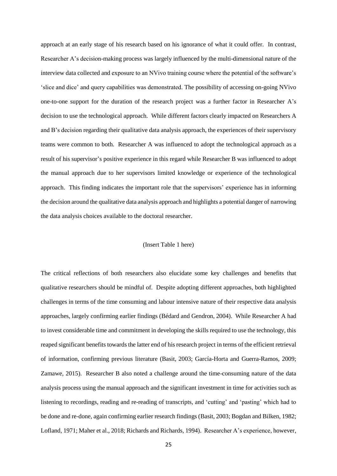approach at an early stage of his research based on his ignorance of what it could offer. In contrast, Researcher A's decision-making process was largely influenced by the multi-dimensional nature of the interview data collected and exposure to an NVivo training course where the potential of the software's 'slice and dice' and query capabilities was demonstrated. The possibility of accessing on-going NVivo one-to-one support for the duration of the research project was a further factor in Researcher A's decision to use the technological approach. While different factors clearly impacted on Researchers A and B's decision regarding their qualitative data analysis approach, the experiences of their supervisory teams were common to both. Researcher A was influenced to adopt the technological approach as a result of his supervisor's positive experience in this regard while Researcher B was influenced to adopt the manual approach due to her supervisors limited knowledge or experience of the technological approach. This finding indicates the important role that the supervisors' experience has in informing the decision around the qualitative data analysis approach and highlights a potential danger of narrowing the data analysis choices available to the doctoral researcher.

## (Insert Table 1 here)

The critical reflections of both researchers also elucidate some key challenges and benefits that qualitative researchers should be mindful of. Despite adopting different approaches, both highlighted challenges in terms of the time consuming and labour intensive nature of their respective data analysis approaches, largely confirming earlier findings (Bédard and Gendron, 2004). While Researcher A had to invest considerable time and commitment in developing the skills required to use the technology, this reaped significant benefits towards the latter end of his research project in terms of the efficient retrieval of information, confirming previous literature (Basit, 2003; García-Horta and Guerra-Ramos, 2009; Zamawe, 2015). Researcher B also noted a challenge around the time-consuming nature of the data analysis process using the manual approach and the significant investment in time for activities such as listening to recordings, reading and re-reading of transcripts, and 'cutting' and 'pasting' which had to be done and re-done, again confirming earlier research findings (Basit, 2003; Bogdan and Bilken, 1982; Lofland, 1971; Maher et al., 2018; Richards and Richards, 1994). Researcher A's experience, however,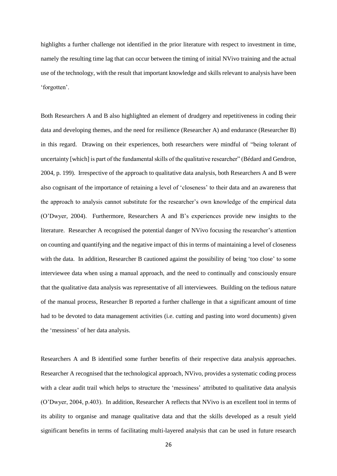highlights a further challenge not identified in the prior literature with respect to investment in time, namely the resulting time lag that can occur between the timing of initial NVivo training and the actual use of the technology, with the result that important knowledge and skills relevant to analysis have been 'forgotten'.

Both Researchers A and B also highlighted an element of drudgery and repetitiveness in coding their data and developing themes, and the need for resilience (Researcher A) and endurance (Researcher B) in this regard. Drawing on their experiences, both researchers were mindful of "being tolerant of uncertainty [which] is part of the fundamental skills of the qualitative researcher" (Bédard and Gendron, 2004, p. 199). Irrespective of the approach to qualitative data analysis, both Researchers A and B were also cognisant of the importance of retaining a level of 'closeness' to their data and an awareness that the approach to analysis cannot substitute for the researcher's own knowledge of the empirical data (O'Dwyer, 2004). Furthermore, Researchers A and B's experiences provide new insights to the literature. Researcher A recognised the potential danger of NVivo focusing the researcher's attention on counting and quantifying and the negative impact of this in terms of maintaining a level of closeness with the data. In addition, Researcher B cautioned against the possibility of being 'too close' to some interviewee data when using a manual approach, and the need to continually and consciously ensure that the qualitative data analysis was representative of all interviewees. Building on the tedious nature of the manual process, Researcher B reported a further challenge in that a significant amount of time had to be devoted to data management activities (i.e. cutting and pasting into word documents) given the 'messiness' of her data analysis.

Researchers A and B identified some further benefits of their respective data analysis approaches. Researcher A recognised that the technological approach, NVivo, provides a systematic coding process with a clear audit trail which helps to structure the 'messiness' attributed to qualitative data analysis (O'Dwyer, 2004, p.403). In addition, Researcher A reflects that NVivo is an excellent tool in terms of its ability to organise and manage qualitative data and that the skills developed as a result yield significant benefits in terms of facilitating multi-layered analysis that can be used in future research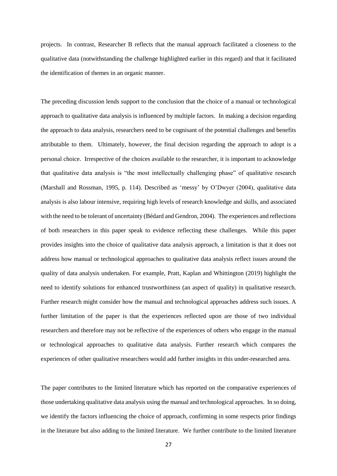projects. In contrast, Researcher B reflects that the manual approach facilitated a closeness to the qualitative data (notwithstanding the challenge highlighted earlier in this regard) and that it facilitated the identification of themes in an organic manner.

The preceding discussion lends support to the conclusion that the choice of a manual or technological approach to qualitative data analysis is influenced by multiple factors. In making a decision regarding the approach to data analysis, researchers need to be cognisant of the potential challenges and benefits attributable to them. Ultimately, however, the final decision regarding the approach to adopt is a personal choice. Irrespective of the choices available to the researcher, it is important to acknowledge that qualitative data analysis is "the most intellectually challenging phase" of qualitative research (Marshall and Rossman, 1995, p. 114). Described as 'messy' by O'Dwyer (2004), qualitative data analysis is also labour intensive, requiring high levels of research knowledge and skills, and associated with the need to be tolerant of uncertainty (Bédard and Gendron, 2004). The experiences and reflections of both researchers in this paper speak to evidence reflecting these challenges. While this paper provides insights into the choice of qualitative data analysis approach, a limitation is that it does not address how manual or technological approaches to qualitative data analysis reflect issues around the quality of data analysis undertaken. For example, Pratt, Kaplan and Whittington (2019) highlight the need to identify solutions for enhanced trustworthiness (an aspect of quality) in qualitative research. Further research might consider how the manual and technological approaches address such issues. A further limitation of the paper is that the experiences reflected upon are those of two individual researchers and therefore may not be reflective of the experiences of others who engage in the manual or technological approaches to qualitative data analysis. Further research which compares the experiences of other qualitative researchers would add further insights in this under-researched area.

The paper contributes to the limited literature which has reported on the comparative experiences of those undertaking qualitative data analysis using the manual and technological approaches. In so doing, we identify the factors influencing the choice of approach, confirming in some respects prior findings in the literature but also adding to the limited literature. We further contribute to the limited literature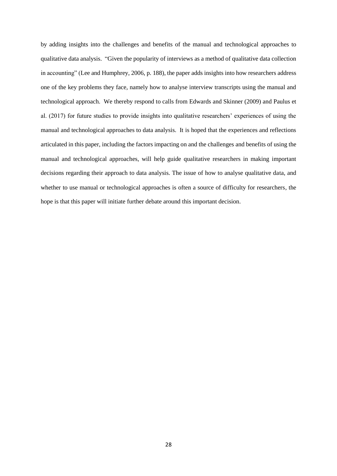by adding insights into the challenges and benefits of the manual and technological approaches to qualitative data analysis. "Given the popularity of interviews as a method of qualitative data collection in accounting" (Lee and Humphrey, 2006, p. 188), the paper adds insights into how researchers address one of the key problems they face, namely how to analyse interview transcripts using the manual and technological approach. We thereby respond to calls from Edwards and Skinner (2009) and Paulus et al. (2017) for future studies to provide insights into qualitative researchers' experiences of using the manual and technological approaches to data analysis. It is hoped that the experiences and reflections articulated in this paper, including the factors impacting on and the challenges and benefits of using the manual and technological approaches, will help guide qualitative researchers in making important decisions regarding their approach to data analysis. The issue of how to analyse qualitative data, and whether to use manual or technological approaches is often a source of difficulty for researchers, the hope is that this paper will initiate further debate around this important decision.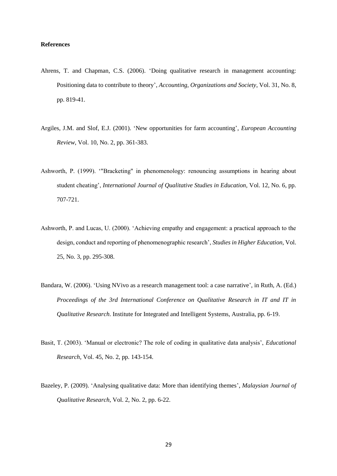## **References**

- Ahrens, T. and Chapman, C.S. (2006). 'Doing qualitative research in management accounting: Positioning data to contribute to theory', *Accounting, Organizations and Society*, Vol. 31, No. 8, pp. 819-41.
- Argiles, J.M. and Slof, E.J. (2001). 'New opportunities for farm accounting', *European Accounting Review*, Vol. 10, No. 2, pp. 361-383.
- Ashworth, P. (1999). '"Bracketing" in phenomenology: renouncing assumptions in hearing about student cheating', *International Journal of Qualitative Studies in Education,* Vol. 12, No. 6, pp. 707-721.
- Ashworth, P. and Lucas, U. (2000). 'Achieving empathy and engagement: a practical approach to the design, conduct and reporting of phenomenographic research', *Studies in Higher Education,* Vol. 25, No. 3, pp. 295-308.
- Bandara, W. (2006). 'Using NVivo as a research management tool: a case narrative', in Ruth, A. (Ed.) *Proceedings of the 3rd International Conference on Qualitative Research in IT and IT in Qualitative Research*. Institute for Integrated and Intelligent Systems, Australia, pp. 6-19.
- Basit, T. (2003). 'Manual or electronic? The role of coding in qualitative data analysis', *Educational Research,* Vol. 45, No. 2, pp. 143-154.
- Bazeley, P. (2009). 'Analysing qualitative data: More than identifying themes', *Malaysian Journal of Qualitative Research*, Vol. 2, No. 2, pp. 6-22.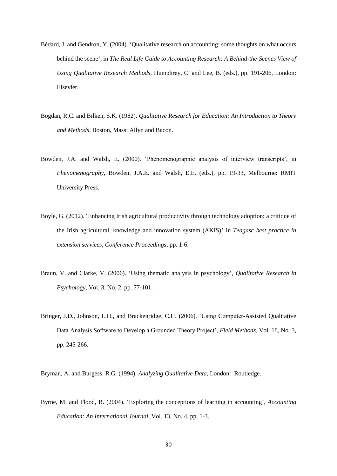- Bédard, J. and Gendron, Y. (2004). 'Qualitative research on accounting: some thoughts on what occurs behind the scene', in *The Real Life Guide to Accounting Research: A Behind-the-Scenes View of Using Qualitative Research Methods*, Humphrey, C. and Lee, B. (eds.), pp. 191-206, London: Elsevier.
- Bogdan, R.C. and Bilken, S.K. (1982). *Qualitative Research for Education: An Introduction to Theory and Methods*. Boston, Mass: Allyn and Bacon.
- Bowden, J.A. and Walsh, E. (2000). 'Phenomenographic analysis of interview transcripts', in *Phenomenography*, Bowden. J.A.E. and Walsh, E.E. (eds.), pp. 19-33, Melbourne: RMIT University Press.
- Boyle, G. (2012). 'Enhancing Irish agricultural productivity through technology adoption: a critique of the Irish agricultural, knowledge and innovation system (AKIS)' in *Teagasc best practice in extension services, Conference Proceedings*, pp. 1-6.
- Braun, V. and Clarke, V. (2006). 'Using thematic analysis in psychology', *Qualitative Research in Psychology*, Vol. 3, No. 2, pp. 77-101.
- Bringer, J.D., Johnson, L.H., and Brackenridge, C.H. (2006). 'Using Computer-Assisted Qualitative Data Analysis Software to Develop a Grounded Theory Project', *Field Methods*, Vol. 18, No. 3, pp. 245-266.

Bryman, A. and Burgess, R.G. (1994). *Analyzing Qualitative Data,* London: Routledge.

Byrne, M. and Flood, B. (2004). 'Exploring the conceptions of learning in accounting', *Accounting Education: An International Journal,* Vol. 13, No. 4, pp. 1-3.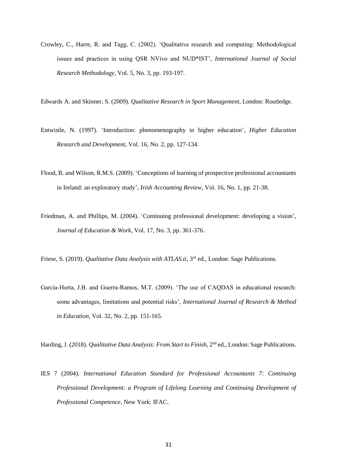Crowley, C., Harre, R. and Tagg, C. (2002). 'Qualitative research and computing: Methodological issues and practices in using QSR NVivo and NUD\*IST', *International Journal of Social Research Methodology,* Vol. 5, No. 3, pp. 193-197.

Edwards A. and Skinner, S. (2009). *Qualitative Research in Sport Management,* London: Routledge.

- Entwistle, N. (1997). 'Introduction: phenomenography in higher education', *Higher Education Research and Development,* Vol. 16, No. 2, pp. 127-134.
- Flood, B. and Wilson, R.M.S. (2009). 'Conceptions of learning of prospective professional accountants in Ireland: an exploratory study', *Irish Accounting Review,* Vol. 16, No. 1, pp. 21-38.
- Friedman, A. and Phillips, M. (2004). 'Continuing professional development: developing a vision', *Journal of Education & Work,* Vol. 17, No. 3, pp. 361-376.
- Friese, S. (2019). *Qualitative Data Analysis with ATLAS.ti*, 3<sup>rd</sup> ed., London: Sage Publications.
- García‐Horta, J.B. and Guerra‐Ramos, M.T. (2009). 'The use of CAQDAS in educational research: some advantages, limitations and potential risks', *International Journal of Research & Method in Education*, Vol. 32, No. 2, pp. 151-165.

Harding, J. (2018). *Qualitative Data Analysis: From Start to Finish*, 2nd ed., London: Sage Publications.

IES 7 (2004). *International Education Standard for Professional Accountants 7: Continuing Professional Development: a Program of Lifelong Learning and Continuing Development of Professional Competence*, New York: IFAC.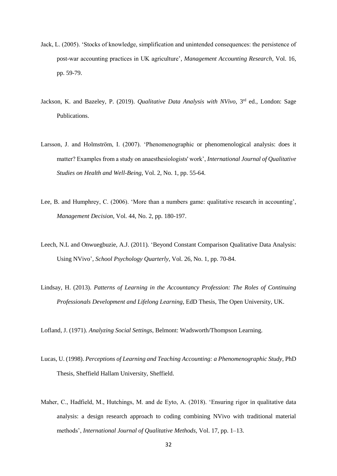- Jack, L. (2005). 'Stocks of knowledge, simplification and unintended consequences: the persistence of post-war accounting practices in UK agriculture', *Management Accounting Research*, Vol. 16, pp. 59-79.
- Jackson, K. and Bazeley, P. (2019). *Qualitative Data Analysis with NVivo*, 3<sup>rd</sup> ed., London: Sage Publications.
- Larsson, J. and Holmström, I. (2007). 'Phenomenographic or phenomenological analysis: does it matter? Examples from a study on anaesthesiologists' work', *International Journal of Qualitative Studies on Health and Well-Being,* Vol. 2, No. 1, pp. 55-64.
- Lee, B. and Humphrey, C. (2006). 'More than a numbers game: qualitative research in accounting', *Management Decision,* Vol. 44, No. 2, pp. 180-197.
- Leech, N.L and Onwuegbuzie, A.J. (2011). 'Beyond Constant Comparison Qualitative Data Analysis: Using NVivo', *School Psychology Quarterly*, Vol. 26, No. 1, pp. 70-84.
- Lindsay, H. (2013). *Patterns of Learning in the Accountancy Profession: The Roles of Continuing Professionals Development and Lifelong Learning*, EdD Thesis, The Open University, UK.

Lofland, J. (1971). *Analyzing Social Settings*, Belmont: Wadsworth/Thompson Learning.

- Lucas, U. (1998). *Perceptions of Learning and Teaching Accounting: a Phenomenographic Study*, PhD Thesis, Sheffield Hallam University, Sheffield.
- Maher, C., Hadfield, M., Hutchings, M. and de Eyto, A. (2018). 'Ensuring rigor in qualitative data analysis: a design research approach to coding combining NVivo with traditional material methods', *International Journal of Qualitative Methods,* Vol. 17, pp. 1–13.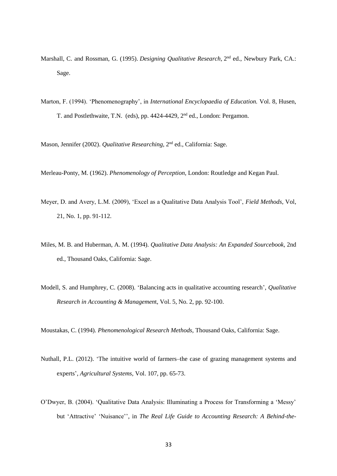- Marshall, C. and Rossman, G. (1995). *Designing Qualitative Research*, 2<sup>nd</sup> ed., Newbury Park, CA.: Sage.
- Marton, F. (1994). 'Phenomenography', in *International Encyclopaedia of Education.* Vol. 8, Husen, T. and Postlethwaite, T.N. (eds), pp. 4424-4429, 2nd ed., London: Pergamon.

Mason, Jennifer (2002). *Qualitative Researching*, 2<sup>nd</sup> ed., California: Sage.

Merleau-Ponty, M. (1962). *Phenomenology of Perception,* London: Routledge and Kegan Paul.

- Meyer, D. and Avery, L.M. (2009), 'Excel as a Qualitative Data Analysis Tool', *Field Methods*, Vol, 21, No. 1, pp. 91-112.
- Miles, M. B. and Huberman, A. M. (1994). *Qualitative Data Analysis: An Expanded Sourcebook,* 2nd ed., Thousand Oaks, California: Sage.
- [Modell, S.](https://www.emerald.com/insight/search?q=Sven%20Modell) and [Humphrey, C.](https://www.emerald.com/insight/search?q=Christopher%20Humphrey) (2008). 'Balancing acts in qualitative accounting research', *[Qualitative](https://www.emerald.com/insight/publication/issn/1176-6093)  [Research in Accounting & Managemen](https://www.emerald.com/insight/publication/issn/1176-6093)*t, Vol. 5, No. 2, pp. 92-100.

Moustakas, C. (1994). *Phenomenological Research Methods,* Thousand Oaks, California: Sage.

- Nuthall, P.L. (2012). 'The intuitive world of farmers–the case of grazing management systems and experts', *Agricultural Systems,* Vol. 107, pp. 65-73.
- O'Dwyer, B. (2004). 'Qualitative Data Analysis: Illuminating a Process for Transforming a 'Messy' but 'Attractive' 'Nuisance'', in *The Real Life Guide to Accounting Research: A Behind-the-*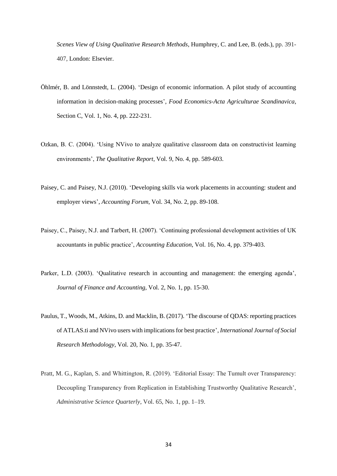*Scenes View of Using Qualitative Research Methods*, Humphrey, C. and Lee, B. (eds.), pp. 391- 407, London: Elsevier.

- Öhlmér, B. and Lönnstedt, L. (2004). 'Design of economic information. A pilot study of accounting information in decision-making processes', *Food Economics-Acta Agriculturae Scandinavica*, Section C, Vol. 1, No. 4, pp. 222-231.
- Ozkan, B. C. (2004). 'Using NVivo to analyze qualitative classroom data on constructivist learning environments', *The Qualitative Report*, Vol. 9, No. 4, pp. 589-603.
- Paisey, C. and Paisey, N.J. (2010). 'Developing skills via work placements in accounting: student and employer views', *Accounting Forum,* Vol. 34, No. 2, pp. 89-108.
- Paisey, C., Paisey, N.J. and Tarbert, H. (2007). 'Continuing professional development activities of UK accountants in public practice', *Accounting Education,* Vol. 16, No. 4, pp. 379-403.
- Parker, L.D. (2003). 'Qualitative research in accounting and management: the emerging agenda', *Journal of Finance and Accounting,* Vol. 2, No. 1, pp. 15-30.
- Paulus, T., Woods, M., Atkins, D. and Macklin, B. (2017). 'The discourse of QDAS: reporting practices of ATLAS.ti and NVivo users with implications for best practice', *International Journal of Social Research Methodology*, Vol. 20, No. 1, pp. 35-47.
- Pratt, M. G., Kaplan, S. and Whittington, R. (2019). 'Editorial Essay: The Tumult over Transparency: Decoupling Transparency from Replication in Establishing Trustworthy Qualitative Research', *Administrative Science Quarterly*, Vol. 65, No. 1, pp. 1–19.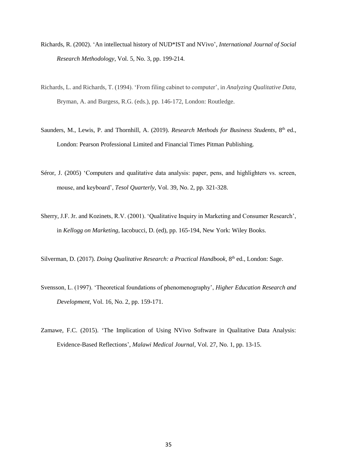- Richards, R. (2002). 'An intellectual history of NUD\*IST and NVivo', *International Journal of Social Research Methodology*, Vol. 5, No. 3, pp. 199-214.
- Richards, L. and Richards, T. (1994). 'From filing cabinet to computer', in *Analyzing Qualitative Data,* Bryman, A. and Burgess, R.G. (eds.), pp. 146-172, London: Routledge.
- Saunders, M., Lewis, P. and Thornhill, A. (2019). *Research Methods for Business Students*, 8<sup>th</sup> ed., London: Pearson Professional Limited and Financial Times Pitman Publishing.
- Séror, J. (2005) 'Computers and qualitative data analysis: paper, pens, and highlighters vs. screen, mouse, and keyboard', *Tesol Quarterly,* Vol. 39, No. 2, pp. 321-328.
- Sherry, J.F. Jr. and Kozinets, R.V. (2001). 'Qualitative Inquiry in Marketing and Consumer Research', in *Kellogg on Marketing*, Iacobucci, D. (ed), pp. 165-194, New York: Wiley Books.
- Silverman, D. (2017). *Doing Qualitative Research: a Practical Handbook*, 8<sup>th</sup> ed., London: Sage.
- Svensson, L. (1997). 'Theoretical foundations of phenomenography', *Higher Education Research and Development,* Vol. 16, No. 2, pp. 159-171.
- Zamawe, F.C. (2015). 'The Implication of Using NVivo Software in Qualitative Data Analysis: Evidence-Based Reflections', *Malawi Medical Journal*, Vol. 27, No. 1, pp. 13-15.